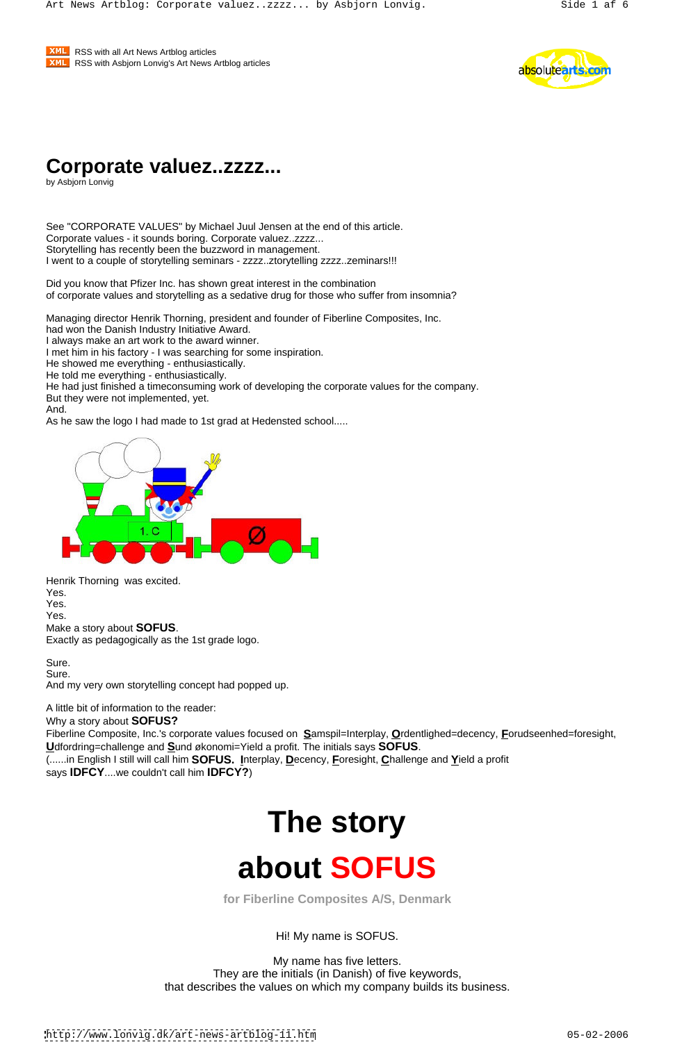**XML** RSS with all Art News Artblog articles **EXML** RSS with Asbjorn Lonvig's Art News Artblog articles **Example 2008** 2012 12:30 and 2012 2013



## **Corporate valuez..zzzz...**

by Asbjorn Lonvig

See "CORPORATE VALUES" by Michael Juul Jensen at the end of this article. Corporate values - it sounds boring. Corporate valuez..zzzz... Storytelling has recently been the buzzword in management. I went to a couple of storytelling seminars - zzzz..ztorytelling zzzz..zeminars!!!

Did you know that Pfizer Inc. has shown great interest in the combination of corporate values and storytelling as a sedative drug for those who suffer from insomnia?

Managing director Henrik Thorning, president and founder of Fiberline Composites, Inc.

had won the Danish Industry Initiative Award.

I always make an art work to the award winner.

I met him in his factory - I was searching for some inspiration.

He showed me everything - enthusiastically.

He told me everything - enthusiastically.

He had just finished a timeconsuming work of developing the corporate values for the company. But they were not implemented, yet.

And. As he saw the logo I had made to 1st grad at Hedensted school.....



Henrik Thorning was excited. Yes. Yes. Yes. Make a story about **SOFUS**. Exactly as pedagogically as the 1st grade logo.

Sure. **Sure.** The second contract of the second contract of the second contract of the second contract of the second contract of the second contract of the second contract of the second contract of the second contract of t Sure. **Sure.** The contract of the contract of the contract of the contract of the contract of the contract of the contract of the contract of the contract of the contract of the contract of the contract of the contract of

And my very own storytelling concept had popped up.

A little bit of information to the reader:

Why a story about **SOFUS?**

Fiberline Composite, Inc.'s corporate values focused on **S**amspil=Interplay, **O**rdentlighed=decency, **F**orudseenhed=foresight, **U**dfordring=challenge and **S**und økonomi=Yield a profit. The initials says **SOFUS**.

(......in English I still will call him **SOFUS. I**nterplay, **D**ecency, **F**oresight, **C**hallenge and **Y**ield a profit

# **The story about SOFUS**

**for Fiberline Composites A/S, Denmark**

Hi! My name is SOFUS.

My name has five letters. They are the initials (in Danish) of five keywords, that describes the values on which my company builds its business.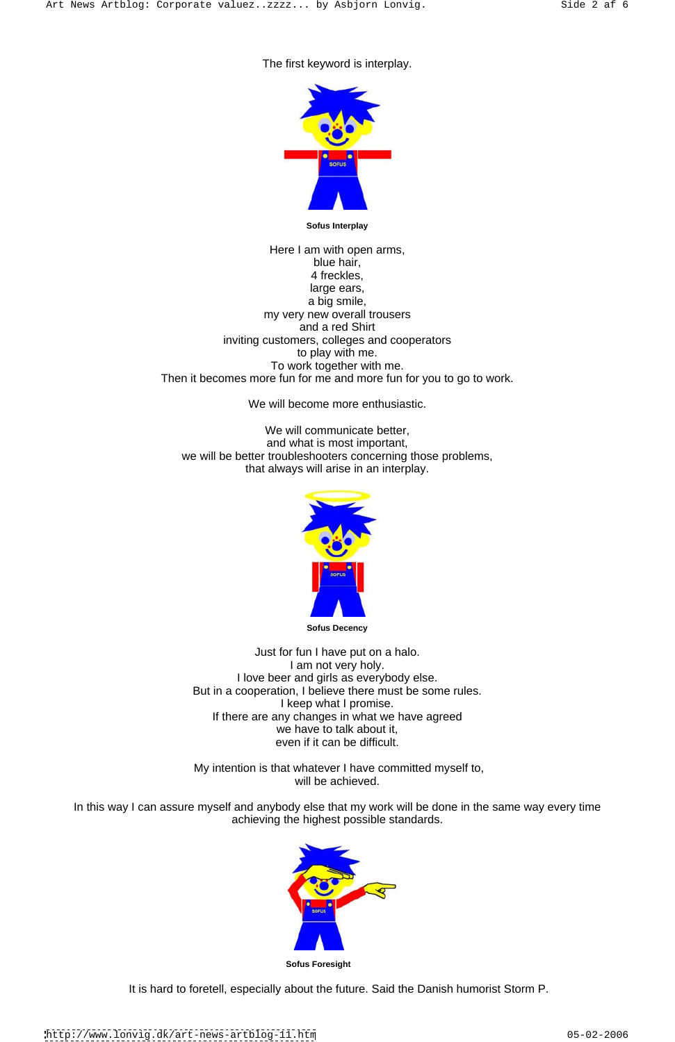#### The first keyword is interplay.



**Sofus Interplay**

Here I am with open arms, blue hair, which is a strong of the structure of the structure of the structure of the structure of the structure of the structure of the structure of the structure of the structure of the structure of the structure of the 4 freckles, large ears, a big smile, my very new overall trousers and a red Shirt inviting customers, colleges and cooperators to play with me. To work together with me. Then it becomes more fun for me and more fun for you to go to work.

We will become more enthusiastic.

We will communicate better, and what is most important, we will be better troubleshooters concerning those problems, that always will arise in an interplay.



In this way I can assure myself and anybody else that my work will be done in the same way every time achieving the highest possible standards.



**Sofus Decency**

Just for fun I have put on a halo. I am not very holy. I love beer and girls as everybody else. But in a cooperation, I believe there must be some rules. I keep what I promise. If there are any changes in what we have agreed we have to talk about it, even if it can be difficult.

#### My intention is that whatever I have committed myself to, will be achieved.

**Sofus Foresight** 

#### It is hard to foretell, especially about the future. Said the Danish humorist Storm P.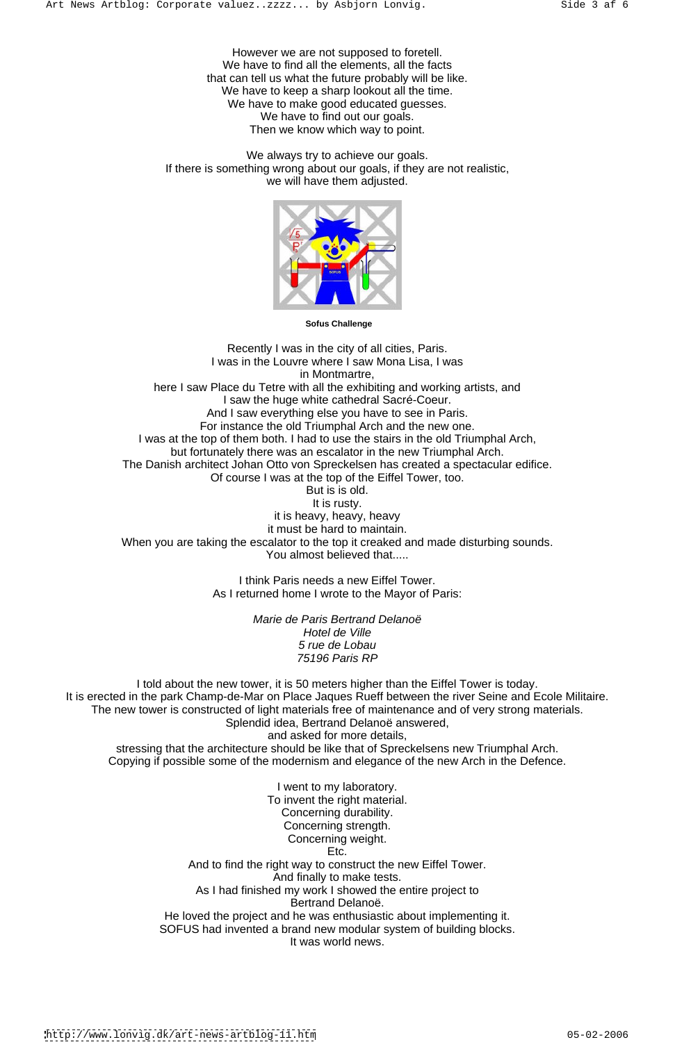However we are not supposed to foretell. We have to find all the elements, all the facts that can tell us what the future probably will be like. We have to keep a sharp lookout all the time. We have to make good educated guesses. We have to find out our goals. Then we know which way to point.

Recently I was in the city of all cities, Paris. I was in the Louvre where I saw Mona Lisa, I was in Montmartre, here I saw Place du Tetre with all the exhibiting and working artists, and I saw the huge white cathedral Sacré-Coeur. And I saw everything else you have to see in Paris. For instance the old Triumphal Arch and the new one. I was at the top of them both. I had to use the stairs in the old Triumphal Arch, but fortunately there was an escalator in the new Triumphal Arch. The Danish architect Johan Otto von Spreckelsen has created a spectacular edifice. Of course I was at the top of the Eiffel Tower, too. But is is old. It is rusty. it is heavy, heavy, heavy it must be hard to maintain. When you are taking the escalator to the top it creaked and made disturbing sounds. You almost believed that.....

We always try to achieve our goals. If there is something wrong about our goals, if they are not realistic, we will have them adjusted.



**Sofus Challenge**

I think Paris needs a new Eiffel Tower. As I returned home I wrote to the Mayor of Paris:

> Marie de Paris Bertrand Delanoë Hotel de Ville 5 rue de Lobau 75196 Paris RP

I told about the new tower, it is 50 meters higher than the Eiffel Tower is today. It is erected in the park Champ-de-Mar on Place Jaques Rueff between the river Seine and Ecole Militaire. The new tower is constructed of light materials free of maintenance and of very strong materials. Splendid idea, Bertrand Delanoë answered,

and asked for more details, stressing that the architecture should be like that of Spreckelsens new Triumphal Arch. Copying if possible some of the modernism and elegance of the new Arch in the Defence.

I went to my laboratory. To invent the right material. Concerning durability. Concerning strength. Concerning weight. Etc. **Example 20** Final contract to the contract of the contract of the contract of the contract of the contract of the contract of the contract of the contract of the contract of the contract of the contract of the contra And to find the right way to construct the new Eiffel Tower. And finally to make tests. As I had finished my work I showed the entire project to Bertrand Delanoë. He loved the project and he was enthusiastic about implementing it. SOFUS had invented a brand new modular system of building blocks. It was world news.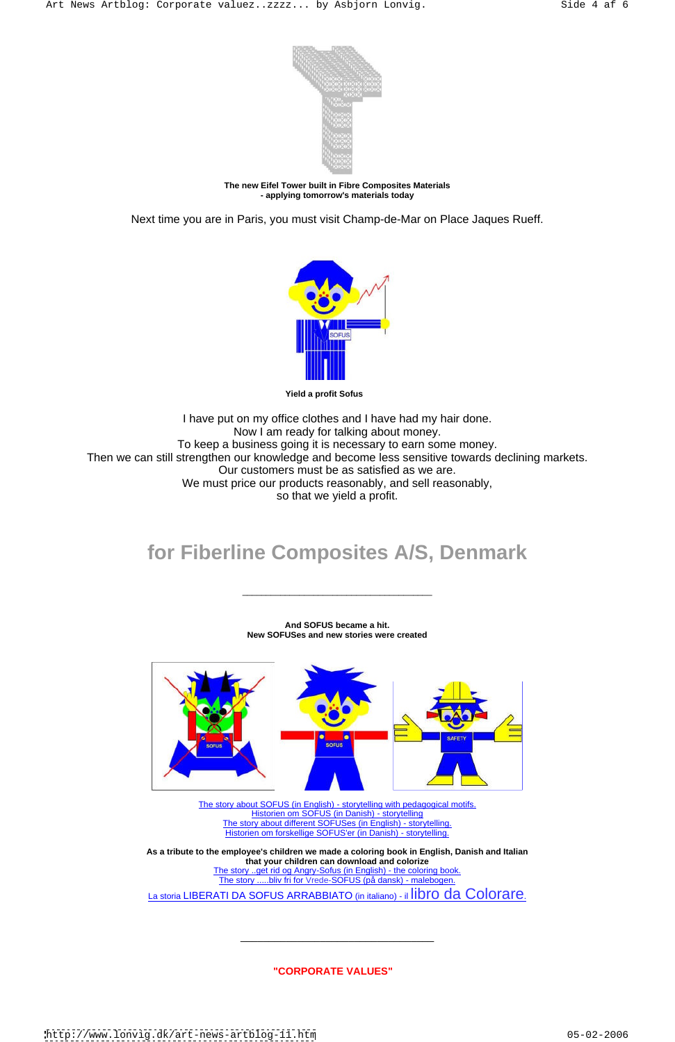

**The new Eifel Tower built in Fibre Composites Materials - applying tomorrow's materials today**

Next time you are in Paris, you must visit Champ-de-Mar on Place Jaques Rueff.



**Yield a profit Sofus** 

I have put on my office clothes and I have had my hair done. Now I am ready for talking about money. To keep a business going it is necessary to earn some money. Then we can still strengthen our knowledge and become less sensitive towards declining markets. Our customers must be as satisfied as we are. We must price our products reasonably, and sell reasonably, so that we yield a profit.

## **for Fiberline Composites A/S, Denmark**

**And SOFUS became a hit. New SOFUSes and new stories were created**





The story about SOFUS (in English) - storytelling with pedagogical motifs. Historien om SOFUS (in Danish) - storytelling The story about different SOFUSes (in English) - storytelling. Historien om forskellige SOFUS'er (in Danish) - storytelling.

**As a tribute to the employee's children we made a coloring book in English, Danish and Italian that your children can download and colorize** The story ..get rid og Angry-Sofus (in English) - the coloring book. The story .....bliv fri for Vrede-SOFUS (på dansk) - malebogen.

La storia LIBERATI DA SOFUS ARRABBIATO (in italiano) - il libro da Colorare.

**"CORPORATE VALUES"** 

<http://www.lonvig.dk/art-news-artblog-11.htm> 05-02-2006

 $\frac{1}{2}$  ,  $\frac{1}{2}$  ,  $\frac{1}{2}$  ,  $\frac{1}{2}$  ,  $\frac{1}{2}$  ,  $\frac{1}{2}$  ,  $\frac{1}{2}$  ,  $\frac{1}{2}$  ,  $\frac{1}{2}$  ,  $\frac{1}{2}$  ,  $\frac{1}{2}$  ,  $\frac{1}{2}$  ,  $\frac{1}{2}$  ,  $\frac{1}{2}$  ,  $\frac{1}{2}$  ,  $\frac{1}{2}$  ,  $\frac{1}{2}$  ,  $\frac{1}{2}$  ,  $\frac{1$ 

 $\overline{\phantom{a}}$  , and the contract of the contract of the contract of the contract of the contract of the contract of the contract of the contract of the contract of the contract of the contract of the contract of the contrac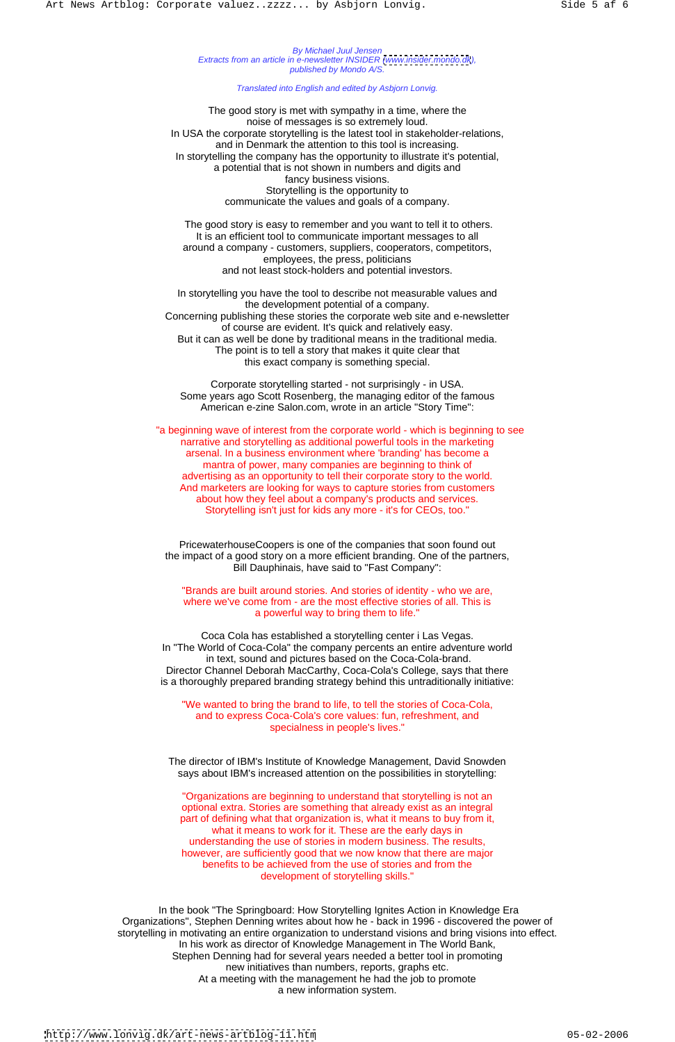By Michael Juul Jensen Extracts from an article in e-newsletter INSIDER [\(www.insider.mondo.dk](http://www.insider.mondo.dk)), published by Mondo A/S.

Translated into English and edited by Asbjorn Lonvig.

The good story is met with sympathy in a time, where the noise of messages is so extremely loud. In USA the corporate storytelling is the latest tool in stakeholder-relations, and in Denmark the attention to this tool is increasing. In storytelling the company has the opportunity to illustrate it's potential, a potential that is not shown in numbers and digits and fancy business visions. Storytelling is the opportunity to communicate the values and goals of a company.

 The good story is easy to remember and you want to tell it to others. It is an efficient tool to communicate important messages to all around a company - customers, suppliers, cooperators, competitors, employees, the press, politicians and not least stock-holders and potential investors.

In storytelling you have the tool to describe not measurable values and the development potential of a company. Concerning publishing these stories the corporate web site and e-newsletter of course are evident. It's quick and relatively easy. But it can as well be done by traditional means in the traditional media. The point is to tell a story that makes it quite clear that this exact company is something special.

Corporate storytelling started - not surprisingly - in USA. Some years ago Scott Rosenberg, the managing editor of the famous American e-zine Salon.com, wrote in an article "Story Time":

 "a beginning wave of interest from the corporate world - which is beginning to see narrative and storytelling as additional powerful tools in the marketing arsenal. In a business environment where 'branding' has become a mantra of power, many companies are beginning to think of advertising as an opportunity to tell their corporate story to the world. And marketers are looking for ways to capture stories from customers about how they feel about a company's products and services. Storytelling isn't just for kids any more - it's for CEOs, too."

PricewaterhouseCoopers is one of the companies that soon found out the impact of a good story on a more efficient branding. One of the partners, Bill Dauphinais, have said to "Fast Company":

"Brands are built around stories. And stories of identity - who we are, where we've come from - are the most effective stories of all. This is a powerful way to bring them to life."

Coca Cola has established a storytelling center i Las Vegas. In "The World of Coca-Cola" the company percents an entire adventure world in text, sound and pictures based on the Coca-Cola-brand. Director Channel Deborah MacCarthy, Coca-Cola's College, says that there is a thoroughly prepared branding strategy behind this untraditionally initiative:

"We wanted to bring the brand to life, to tell the stories of Coca-Cola, and to express Coca-Cola's core values: fun, refreshment, and specialness in people's lives."

The director of IBM's Institute of Knowledge Management, David Snowden

says about IBM's increased attention on the possibilities in storytelling:

"Organizations are beginning to understand that storytelling is not an optional extra. Stories are something that already exist as an integral part of defining what that organization is, what it means to buy from it, what it means to work for it. These are the early days in understanding the use of stories in modern business. The results, however, are sufficiently good that we now know that there are major benefits to be achieved from the use of stories and from the development of storytelling skills."

 In the book "The Springboard: How Storytelling Ignites Action in Knowledge Era Organizations", Stephen Denning writes about how he - back in 1996 - discovered the power of storytelling in motivating an entire organization to understand visions and bring visions into effect. In his work as director of Knowledge Management in The World Bank, Stephen Denning had for several years needed a better tool in promoting new initiatives than numbers, reports, graphs etc. At a meeting with the management he had the job to promote a new information system.